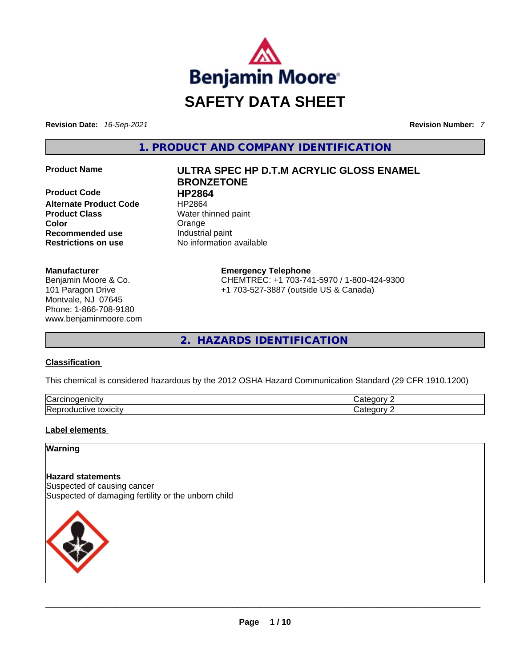

**Revision Date:** *16-Sep-2021* **Revision Number:** *7*

**1. PRODUCT AND COMPANY IDENTIFICATION** 

**Product Code 
<b>Product Code**<br> **Alternate Product Code HP2864 Alternate Product Code Product Class Water thinned paint Color**<br> **Recommended use**<br> **Color**<br> **Color**<br> **Color**<br> **Color**<br> **Color**<br> **Color**<br> **Color**<br> **Color**<br> **Color**<br> **Color**<br> **Color Recommended use Restrictions on use** No information available

#### **Manufacturer**

Benjamin Moore & Co. 101 Paragon Drive Montvale, NJ 07645 Phone: 1-866-708-9180 www.benjaminmoore.com

# **Product Name ULTRA SPEC HP D.T.M ACRYLIC GLOSS ENAMEL BRONZETONE**

**Emergency Telephone** CHEMTREC: +1 703-741-5970 / 1-800-424-9300 +1 703-527-3887 (outside US & Canada)

**2. HAZARDS IDENTIFICATION** 

### **Classification**

This chemical is considered hazardous by the 2012 OSHA Hazard Communication Standard (29 CFR 1910.1200)

| ∽<br>.<br>Nar<br>TICILV<br>- 16 | ----  |
|---------------------------------|-------|
| Repr<br>toxicity<br>ive<br>.    | ----- |

### **Label elements**

#### **Warning**

### **Hazard statements**

Suspected of causing cancer Suspected of damaging fertility or the unborn child

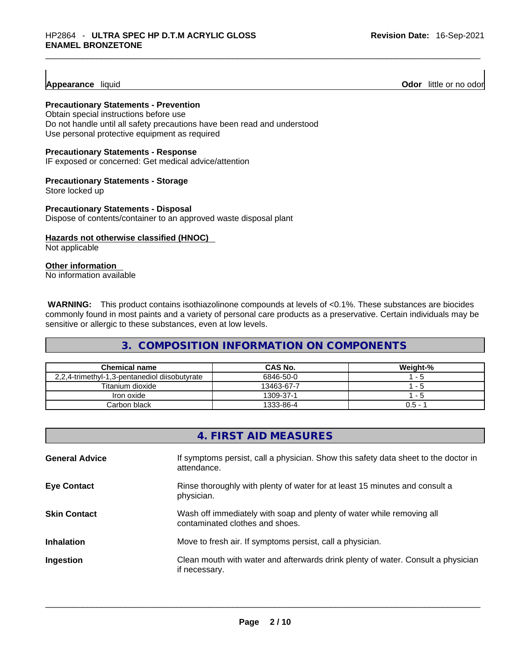#### **Appearance** liquid

**Odor** little or no odor

#### **Precautionary Statements - Prevention**

Obtain special instructions before use Do not handle until all safety precautions have been read and understood Use personal protective equipment as required

#### **Precautionary Statements - Response**

IF exposed or concerned: Get medical advice/attention

#### **Precautionary Statements - Storage**

Store locked up

**Precautionary Statements - Disposal** Dispose of contents/container to an approved waste disposal plant

# **Hazards not otherwise classified (HNOC)**

Not applicable

# **Other information**

No information available

**WARNING:** This product contains isothiazolinone compounds at levels of <0.1%. These substances are biocides commonly found in most paints and a variety of personal care products as a preservative. Certain individuals may be sensitive or allergic to these substances, even at low levels.

# **3. COMPOSITION INFORMATION ON COMPONENTS**

| Chemical name                                 | <b>CAS No.</b> | Weight-% |
|-----------------------------------------------|----------------|----------|
| 2,2,4-trimethyl-1,3-pentanediol diisobutyrate | 6846-50-0      | - 5      |
| Titanium dioxide                              | 13463-67-7     | - 5      |
| Iron oxide                                    | 1309-37-1      | - 5      |
| Carbon black                                  | 1333-86-4      | $0.5 -$  |

|                       | 4. FIRST AID MEASURES                                                                                    |
|-----------------------|----------------------------------------------------------------------------------------------------------|
| <b>General Advice</b> | If symptoms persist, call a physician. Show this safety data sheet to the doctor in<br>attendance.       |
| <b>Eye Contact</b>    | Rinse thoroughly with plenty of water for at least 15 minutes and consult a<br>physician.                |
| <b>Skin Contact</b>   | Wash off immediately with soap and plenty of water while removing all<br>contaminated clothes and shoes. |
| <b>Inhalation</b>     | Move to fresh air. If symptoms persist, call a physician.                                                |
| Ingestion             | Clean mouth with water and afterwards drink plenty of water. Consult a physician<br>if necessary.        |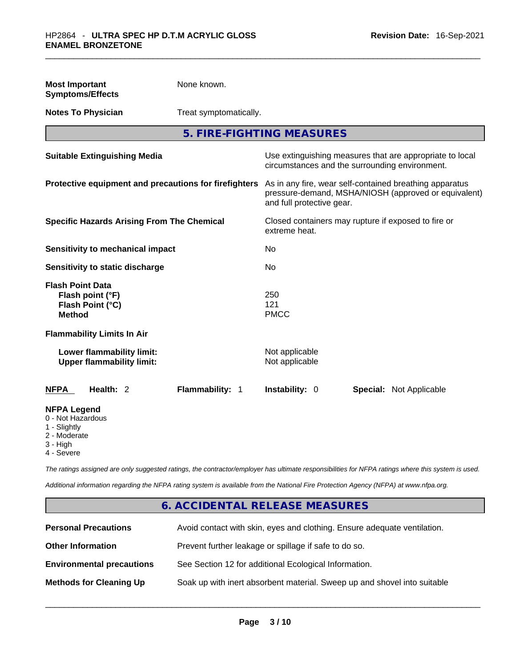| <b>Most Important</b><br><b>Symptoms/Effects</b>                                                  | None known.            |                                  |                                                                                                                 |
|---------------------------------------------------------------------------------------------------|------------------------|----------------------------------|-----------------------------------------------------------------------------------------------------------------|
| <b>Notes To Physician</b>                                                                         | Treat symptomatically. |                                  |                                                                                                                 |
|                                                                                                   |                        | 5. FIRE-FIGHTING MEASURES        |                                                                                                                 |
| <b>Suitable Extinguishing Media</b>                                                               |                        |                                  | Use extinguishing measures that are appropriate to local<br>circumstances and the surrounding environment.      |
| Protective equipment and precautions for firefighters                                             |                        | and full protective gear.        | As in any fire, wear self-contained breathing apparatus<br>pressure-demand, MSHA/NIOSH (approved or equivalent) |
| <b>Specific Hazards Arising From The Chemical</b>                                                 |                        | extreme heat.                    | Closed containers may rupture if exposed to fire or                                                             |
| <b>Sensitivity to mechanical impact</b>                                                           |                        | No.                              |                                                                                                                 |
| Sensitivity to static discharge                                                                   |                        | No                               |                                                                                                                 |
| <b>Flash Point Data</b><br>Flash point (°F)<br>Flash Point (°C)<br><b>Method</b>                  |                        | 250<br>121<br><b>PMCC</b>        |                                                                                                                 |
| <b>Flammability Limits In Air</b>                                                                 |                        |                                  |                                                                                                                 |
| Lower flammability limit:<br><b>Upper flammability limit:</b>                                     |                        | Not applicable<br>Not applicable |                                                                                                                 |
| <b>NFPA</b><br>Health: 2                                                                          | Flammability: 1        | <b>Instability: 0</b>            | Special: Not Applicable                                                                                         |
| <b>NFPA Legend</b><br>0 - Not Hazardous<br>1 - Slightly<br>2 - Moderate<br>3 - High<br>4 - Severe |                        |                                  |                                                                                                                 |

*The ratings assigned are only suggested ratings, the contractor/employer has ultimate responsibilities for NFPA ratings where this system is used.* 

*Additional information regarding the NFPA rating system is available from the National Fire Protection Agency (NFPA) at www.nfpa.org.* 

# **6. ACCIDENTAL RELEASE MEASURES**

| <b>Personal Precautions</b>      | Avoid contact with skin, eyes and clothing. Ensure adequate ventilation. |
|----------------------------------|--------------------------------------------------------------------------|
| <b>Other Information</b>         | Prevent further leakage or spillage if safe to do so.                    |
| <b>Environmental precautions</b> | See Section 12 for additional Ecological Information.                    |
| <b>Methods for Cleaning Up</b>   | Soak up with inert absorbent material. Sweep up and shovel into suitable |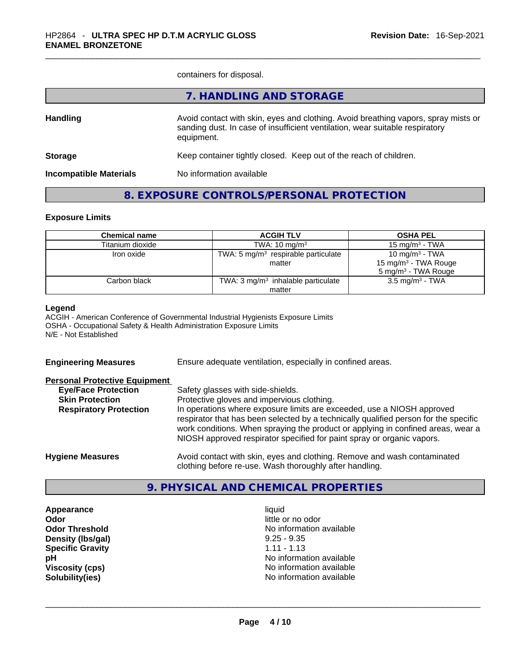containers for disposal.

|                               | 7. HANDLING AND STORAGE                                                                                                                                                          |
|-------------------------------|----------------------------------------------------------------------------------------------------------------------------------------------------------------------------------|
| <b>Handling</b>               | Avoid contact with skin, eyes and clothing. Avoid breathing vapors, spray mists or<br>sanding dust. In case of insufficient ventilation, wear suitable respiratory<br>equipment. |
| <b>Storage</b>                | Keep container tightly closed. Keep out of the reach of children.                                                                                                                |
| <b>Incompatible Materials</b> | No information available                                                                                                                                                         |
|                               |                                                                                                                                                                                  |

# **8. EXPOSURE CONTROLS/PERSONAL PROTECTION**

#### **Exposure Limits**

| <b>Chemical name</b> | <b>ACGIH TLV</b>                              | <b>OSHA PEL</b>                  |
|----------------------|-----------------------------------------------|----------------------------------|
| Titanium dioxide     | TWA: $10 \text{ mg/m}^3$                      | 15 mg/m $3$ - TWA                |
| Iron oxide           | TWA: 5 $mg/m3$ respirable particulate         | 10 mg/m $3$ - TWA                |
|                      | matter                                        | 15 mg/m <sup>3</sup> - TWA Rouge |
|                      |                                               | 5 mg/m <sup>3</sup> - TWA Rouge  |
| Carbon black         | TWA: $3 \text{ mg/m}^3$ inhalable particulate | 3.5 mg/m <sup>3</sup> - TWA      |
|                      | matter                                        |                                  |

#### **Legend**

ACGIH - American Conference of Governmental Industrial Hygienists Exposure Limits OSHA - Occupational Safety & Health Administration Exposure Limits N/E - Not Established

**Engineering Measures** Ensure adequate ventilation, especially in confined areas.

#### **Personal Protective Equipment**

| <b>Eye/Face Protection</b>    | Safety glasses with side-shields.                                                                                                                                                                                                                                                                                            |
|-------------------------------|------------------------------------------------------------------------------------------------------------------------------------------------------------------------------------------------------------------------------------------------------------------------------------------------------------------------------|
| <b>Skin Protection</b>        | Protective gloves and impervious clothing.                                                                                                                                                                                                                                                                                   |
| <b>Respiratory Protection</b> | In operations where exposure limits are exceeded, use a NIOSH approved<br>respirator that has been selected by a technically qualified person for the specific<br>work conditions. When spraying the product or applying in confined areas, wear a<br>NIOSH approved respirator specified for paint spray or organic vapors. |
| <b>Hygiene Measures</b>       | Avoid contact with skin, eyes and clothing. Remove and wash contaminated                                                                                                                                                                                                                                                     |

### **9. PHYSICAL AND CHEMICAL PROPERTIES**

clothing before re-use. Wash thoroughly after handling.

**Appearance and intervalse and intervalse in the set of the set of the set of the set of the set of the set of the set of the set of the set of the set of the set of the set of the set of the set of the set of the set of t Density (lbs/gal)** 9.25 - 9.35 **Specific Gravity** 1.11 - 1.13

**Odor** little or no odor **Odor Threshold No information available No information available pH bH 1 Viscosity (cps)** No information available **Solubility(ies)** No information available \_\_\_\_\_\_\_\_\_\_\_\_\_\_\_\_\_\_\_\_\_\_\_\_\_\_\_\_\_\_\_\_\_\_\_\_\_\_\_\_\_\_\_\_\_\_\_\_\_\_\_\_\_\_\_\_\_\_\_\_\_\_\_\_\_\_\_\_\_\_\_\_\_\_\_\_\_\_\_\_\_\_\_\_\_\_\_\_\_\_\_\_\_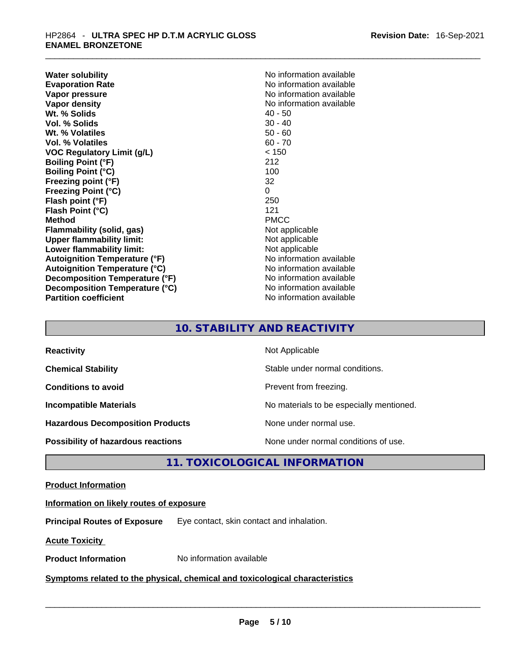**Water solubility Water solubility No information available Evaporation Rate Note 2008 No information available Note 2008 No information available Vapor pressure**  No information available **Vapor pressure No information available Vapor density No information available No information available Wt. % Solids** 40 - 50 **Vol. % Solids** 30 - 40 **Wt. % Volatiles** 50 - 60 **Vol. % Volatiles** 60 - 70 **VOC Regulatory Limit (g/L)** < 150 **Boiling Point (°F)** 212 **Boiling Point (°C)** 100 **Freezing point (°F)** 32 **Freezing Point (°C)** 0 **Flash point (°F)** 250 **Flash Point (°C)** 121 **Method** PMCC **Flammability (solid, gas)** Not applicable **Upper flammability limit:** Not applicable **Lower flammability limit:** Not applicable **Autoignition Temperature (°F)** No information available **Autoignition Temperature (°C)** No information available **Decomposition Temperature (°F)** No information available **Decomposition Temperature (°C)** No information available **Partition coefficient** No information available

# **10. STABILITY AND REACTIVITY**

| <b>Reactivity</b>                         | Not Applicable                           |
|-------------------------------------------|------------------------------------------|
| <b>Chemical Stability</b>                 | Stable under normal conditions.          |
| <b>Conditions to avoid</b>                | Prevent from freezing.                   |
| <b>Incompatible Materials</b>             | No materials to be especially mentioned. |
| <b>Hazardous Decomposition Products</b>   | None under normal use.                   |
| <b>Possibility of hazardous reactions</b> | None under normal conditions of use.     |

# **11. TOXICOLOGICAL INFORMATION**

### **Product Information**

# **Information on likely routes of exposure**

**Principal Routes of Exposure** Eye contact, skin contact and inhalation.

**Acute Toxicity** 

# **Product Information** No information available \_\_\_\_\_\_\_\_\_\_\_\_\_\_\_\_\_\_\_\_\_\_\_\_\_\_\_\_\_\_\_\_\_\_\_\_\_\_\_\_\_\_\_\_\_\_\_\_\_\_\_\_\_\_\_\_\_\_\_\_\_\_\_\_\_\_\_\_\_\_\_\_\_\_\_\_\_\_\_\_\_\_\_\_\_\_\_\_\_\_\_\_\_ **Symptoms related** to the physical, chemical and toxicological characteristics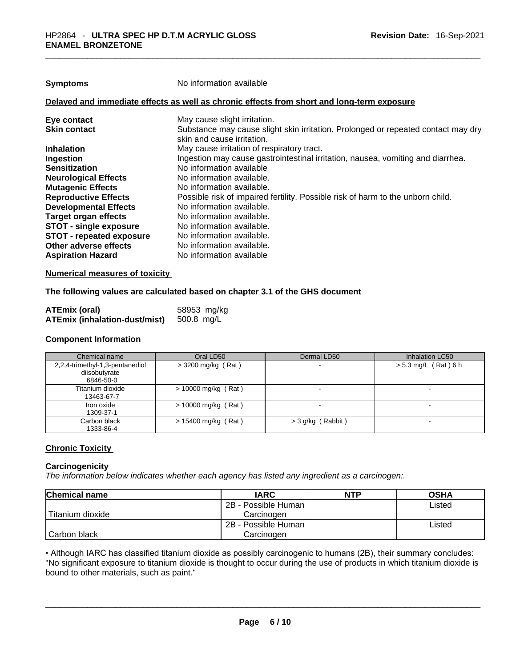| Symptoms |
|----------|
|----------|

**Symptoms** No information available

#### **Delayed and immediate effects as well as chronic effects from short and long-term exposure**

| Eye contact                     | May cause slight irritation.                                                      |
|---------------------------------|-----------------------------------------------------------------------------------|
| <b>Skin contact</b>             | Substance may cause slight skin irritation. Prolonged or repeated contact may dry |
|                                 | skin and cause irritation.                                                        |
| <b>Inhalation</b>               | May cause irritation of respiratory tract.                                        |
| Ingestion                       | Ingestion may cause gastrointestinal irritation, nausea, vomiting and diarrhea.   |
| <b>Sensitization</b>            | No information available                                                          |
| <b>Neurological Effects</b>     | No information available.                                                         |
| <b>Mutagenic Effects</b>        | No information available.                                                         |
| <b>Reproductive Effects</b>     | Possible risk of impaired fertility. Possible risk of harm to the unborn child.   |
| <b>Developmental Effects</b>    | No information available.                                                         |
| <b>Target organ effects</b>     | No information available.                                                         |
| <b>STOT - single exposure</b>   | No information available.                                                         |
| <b>STOT - repeated exposure</b> | No information available.                                                         |
| Other adverse effects           | No information available.                                                         |
| <b>Aspiration Hazard</b>        | No information available                                                          |
|                                 |                                                                                   |

#### **Numerical measures of toxicity**

#### **The following values are calculated based on chapter 3.1 of the GHS document**

| ATEmix (oral)                        | 58953 mg/kg |
|--------------------------------------|-------------|
| <b>ATEmix (inhalation-dust/mist)</b> | 500.8 mg/L  |

#### **Component Information**

| Chemical name                                                 | Oral LD50             | Dermal LD50         | Inhalation LC50        |
|---------------------------------------------------------------|-----------------------|---------------------|------------------------|
| 2,2,4-trimethyl-1,3-pentanediol<br>diisobutyrate<br>6846-50-0 | > 3200 mg/kg (Rat)    |                     | $> 5.3$ mg/L (Rat) 6 h |
| Titanium dioxide<br>13463-67-7                                | $> 10000$ mg/kg (Rat) |                     | -                      |
| Iron oxide<br>1309-37-1                                       | $> 10000$ mg/kg (Rat) |                     | $\sim$                 |
| Carbon black<br>1333-86-4                                     | $> 15400$ mg/kg (Rat) | $>$ 3 g/kg (Rabbit) | -                      |

#### **Chronic Toxicity**

#### **Carcinogenicity**

*The information below indicates whether each agency has listed any ingredient as a carcinogen:.* 

| <b>Chemical name</b> | <b>IARC</b>         | <b>NTP</b> | <b>OSHA</b> |
|----------------------|---------------------|------------|-------------|
|                      | 2B - Possible Human |            | Listed      |
| Titanium dioxide     | Carcinogen          |            |             |
|                      | 2B - Possible Human |            | Listed      |
| l Carbon black       | Carcinogen          |            |             |

• Although IARC has classified titanium dioxide as possibly carcinogenic to humans (2B), their summary concludes: "No significant exposure to titanium dioxide is thought to occur during the use of products in which titanium dioxide is<br>bound to other materials, such as paint." bound to other materials, such as paint." \_\_\_\_\_\_\_\_\_\_\_\_\_\_\_\_\_\_\_\_\_\_\_\_\_\_\_\_\_\_\_\_\_\_\_\_\_\_\_\_\_\_\_\_\_\_\_\_\_\_\_\_\_\_\_\_\_\_\_\_\_\_\_\_\_\_\_\_\_\_\_\_\_\_\_\_\_\_\_\_\_\_\_\_\_\_\_\_\_\_\_\_\_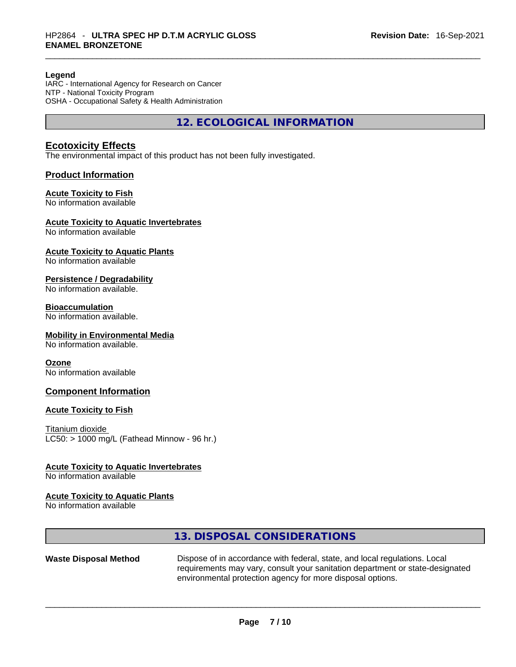#### **Legend**

IARC - International Agency for Research on Cancer NTP - National Toxicity Program OSHA - Occupational Safety & Health Administration

**12. ECOLOGICAL INFORMATION** 

### **Ecotoxicity Effects**

The environmental impact of this product has not been fully investigated.

#### **Product Information**

#### **Acute Toxicity to Fish**

No information available

#### **Acute Toxicity to Aquatic Invertebrates**

No information available

#### **Acute Toxicity to Aquatic Plants**

No information available

#### **Persistence / Degradability**

No information available.

#### **Bioaccumulation**

No information available.

#### **Mobility in Environmental Media**

No information available.

#### **Ozone**

No information available

#### **Component Information**

#### **Acute Toxicity to Fish**

Titanium dioxide  $LC50:$  > 1000 mg/L (Fathead Minnow - 96 hr.)

#### **Acute Toxicity to Aquatic Invertebrates**

No information available

#### **Acute Toxicity to Aquatic Plants**

No information available

# **13. DISPOSAL CONSIDERATIONS**

**Waste Disposal Method** Dispose of in accordance with federal, state, and local regulations. Local requirements may vary, consult your sanitation department or state-designated environmental protection agency for more disposal options.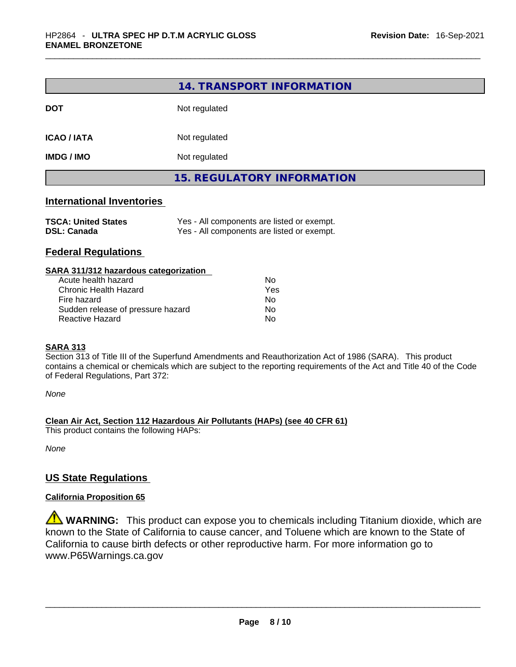|                                                  | 14. TRANSPORT INFORMATION                                                                |  |
|--------------------------------------------------|------------------------------------------------------------------------------------------|--|
| <b>DOT</b>                                       | Not regulated                                                                            |  |
| <b>ICAO / IATA</b>                               | Not regulated                                                                            |  |
| <b>IMDG / IMO</b>                                | Not regulated                                                                            |  |
|                                                  | <b>15. REGULATORY INFORMATION</b>                                                        |  |
| <b>International Inventories</b>                 |                                                                                          |  |
| <b>TSCA: United States</b><br><b>DSL: Canada</b> | Yes - All components are listed or exempt.<br>Yes - All components are listed or exempt. |  |

# **Federal Regulations**

| SARA 311/312 hazardous categorization |     |  |
|---------------------------------------|-----|--|
| Acute health hazard                   | Nο  |  |
| Chronic Health Hazard                 | Yes |  |
| Fire hazard                           | No  |  |
| Sudden release of pressure hazard     | No  |  |
| Reactive Hazard                       | No  |  |
|                                       |     |  |

#### **SARA 313**

Section 313 of Title III of the Superfund Amendments and Reauthorization Act of 1986 (SARA). This product contains a chemical or chemicals which are subject to the reporting requirements of the Act and Title 40 of the Code of Federal Regulations, Part 372:

*None*

**Clean Air Act,Section 112 Hazardous Air Pollutants (HAPs) (see 40 CFR 61)**

This product contains the following HAPs:

*None*

### **US State Regulations**

#### **California Proposition 65**

**WARNING:** This product can expose you to chemicals including Titanium dioxide, which are known to the State of California to cause cancer, and Toluene which are known to the State of California to cause birth defects or other reproductive harm. For more information go to www.P65Warnings.ca.gov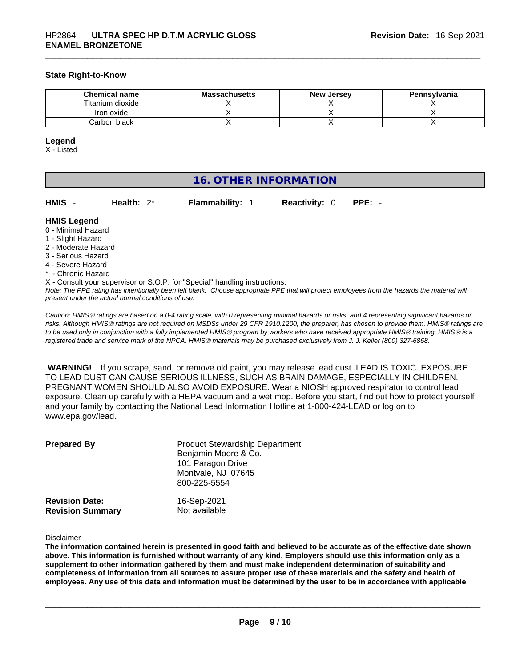#### **State Right-to-Know**

| Chemical name    | <b>Massachusetts</b> | <b>New Jersey</b> | <b>Pennsylvania</b> |
|------------------|----------------------|-------------------|---------------------|
| Titanium dioxide |                      |                   |                     |
| Iron oxide       |                      |                   |                     |
| Carbon black     |                      |                   |                     |

#### **Legend**

X - Listed

# **16. OTHER INFORMATION**

**HMIS** - **Health:** 2\* **Flammability:** 1 **Reactivity:** 0 **PPE:** -

### **HMIS Legend**

- 0 Minimal Hazard
- 1 Slight Hazard
- 2 Moderate Hazard
- 3 Serious Hazard
- 4 Severe Hazard
- \* Chronic Hazard
- X Consult your supervisor or S.O.P. for "Special" handling instructions.

Note: The PPE rating has intentionally been left blank. Choose appropriate PPE that will protect employees from the hazards the material will *present under the actual normal conditions of use.* 

*Caution: HMISÒ ratings are based on a 0-4 rating scale, with 0 representing minimal hazards or risks, and 4 representing significant hazards or risks. Although HMISÒ ratings are not required on MSDSs under 29 CFR 1910.1200, the preparer, has chosen to provide them. HMISÒ ratings are to be used only in conjunction with a fully implemented HMISÒ program by workers who have received appropriate HMISÒ training. HMISÒ is a registered trade and service mark of the NPCA. HMISÒ materials may be purchased exclusively from J. J. Keller (800) 327-6868.* 

 **WARNING!** If you scrape, sand, or remove old paint, you may release lead dust. LEAD IS TOXIC. EXPOSURE TO LEAD DUST CAN CAUSE SERIOUS ILLNESS, SUCH AS BRAIN DAMAGE, ESPECIALLY IN CHILDREN. PREGNANT WOMEN SHOULD ALSO AVOID EXPOSURE.Wear a NIOSH approved respirator to control lead exposure. Clean up carefully with a HEPA vacuum and a wet mop. Before you start, find out how to protect yourself and your family by contacting the National Lead Information Hotline at 1-800-424-LEAD or log on to www.epa.gov/lead.

| <b>Prepared By</b>      | <b>Product Stewardship Department</b><br>Benjamin Moore & Co.<br>101 Paragon Drive<br>Montvale, NJ 07645<br>800-225-5554 |
|-------------------------|--------------------------------------------------------------------------------------------------------------------------|
| <b>Revision Date:</b>   | 16-Sep-2021                                                                                                              |
| <b>Revision Summary</b> | Not available                                                                                                            |

#### Disclaimer

The information contained herein is presented in good faith and believed to be accurate as of the effective date shown above. This information is furnished without warranty of any kind. Employers should use this information only as a **supplement to other information gathered by them and must make independent determination of suitability and** completeness of information from all sources to assure proper use of these materials and the safety and health of employees. Any use of this data and information must be determined by the user to be in accordance with applicable